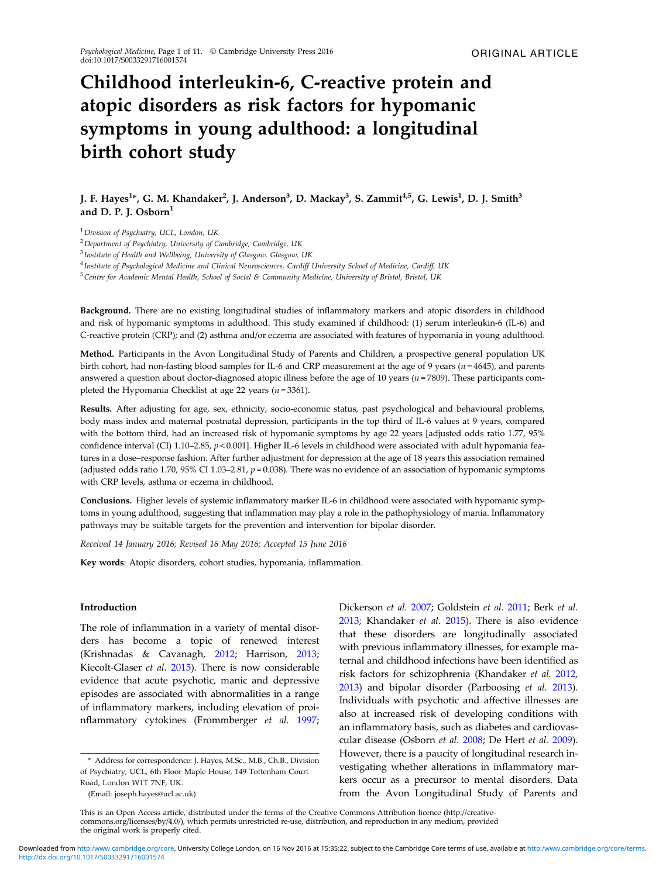# Childhood interleukin-6, C-reactive protein and atopic disorders as risk factors for hypomanic symptoms in young adulthood: a longitudinal birth cohort study

J. F. Hayes<sup>1</sup>\*, G. M. Khandaker<sup>2</sup>, J. Anderson<sup>3</sup>, D. Mackay<sup>3</sup>, S. Zammit<sup>4,5</sup>, G. Lewis<sup>1</sup>, D. J. Smith<sup>3</sup> and D. P. J. Osborn $<sup>1</sup>$ </sup>

<sup>1</sup> Division of Psychiatry, UCL, London, UK

 $2$  Department of Psychiatry, University of Cambridge, Cambridge, UK

<sup>3</sup> Institute of Health and Wellbeing, University of Glasgow, Glasgow, UK

<sup>4</sup> Institute of Psychological Medicine and Clinical Neurosciences, Cardiff University School of Medicine, Cardiff, UK

<sup>5</sup>Centre for Academic Mental Health, School of Social & Community Medicine, University of Bristol, Bristol, UK

Background. There are no existing longitudinal studies of inflammatory markers and atopic disorders in childhood and risk of hypomanic symptoms in adulthood. This study examined if childhood: (1) serum interleukin-6 (IL-6) and C-reactive protein (CRP); and (2) asthma and/or eczema are associated with features of hypomania in young adulthood.

Method. Participants in the Avon Longitudinal Study of Parents and Children, a prospective general population UK birth cohort, had non-fasting blood samples for IL-6 and CRP measurement at the age of 9 years ( $n = 4645$ ), and parents answered a question about doctor-diagnosed atopic illness before the age of 10 years ( $n = 7809$ ). These participants completed the Hypomania Checklist at age 22 years ( $n = 3361$ ).

Results. After adjusting for age, sex, ethnicity, socio-economic status, past psychological and behavioural problems, body mass index and maternal postnatal depression, participants in the top third of IL-6 values at 9 years, compared with the bottom third, had an increased risk of hypomanic symptoms by age 22 years [adjusted odds ratio 1.77, 95% confidence interval (CI) 1.10–2.85,  $p < 0.001$ ]. Higher IL-6 levels in childhood were associated with adult hypomania features in a dose–response fashion. After further adjustment for depression at the age of 18 years this association remained (adjusted odds ratio 1.70, 95% CI 1.03–2.81,  $p = 0.038$ ). There was no evidence of an association of hypomanic symptoms with CRP levels, asthma or eczema in childhood.

Conclusions. Higher levels of systemic inflammatory marker IL-6 in childhood were associated with hypomanic symptoms in young adulthood, suggesting that inflammation may play a role in the pathophysiology of mania. Inflammatory pathways may be suitable targets for the prevention and intervention for bipolar disorder.

Received 14 January 2016; Revised 16 May 2016; Accepted 15 June 2016

Key words: Atopic disorders, cohort studies, hypomania, inflammation.

## Introduction

The role of inflammation in a variety of mental disorders has become a topic of renewed interest (Krishnadas & Cavanagh, [2012](#page-9-0); Harrison, [2013](#page-9-0); Kiecolt-Glaser et al. [2015\)](#page-9-0). There is now considerable evidence that acute psychotic, manic and depressive episodes are associated with abnormalities in a range of inflammatory markers, including elevation of proinflammatory cytokines (Frommberger et al. [1997](#page-9-0);

Dickerson et al. [2007;](#page-9-0) Goldstein et al. [2011;](#page-9-0) Berk et al. [2013;](#page-8-0) Khandaker et al. [2015\)](#page-9-0). There is also evidence that these disorders are longitudinally associated with previous inflammatory illnesses, for example maternal and childhood infections have been identified as risk factors for schizophrenia (Khandaker et al. [2012](#page-9-0), [2013\)](#page-9-0) and bipolar disorder (Parboosing et al. [2013](#page-10-0)). Individuals with psychotic and affective illnesses are also at increased risk of developing conditions with an inflammatory basis, such as diabetes and cardiovascular disease (Osborn et al. [2008](#page-10-0); De Hert et al. [2009](#page-9-0)). However, there is a paucity of longitudinal research investigating whether alterations in inflammatory markers occur as a precursor to mental disorders. Data from the Avon Longitudinal Study of Parents and

This is an Open Access article, distributed under the terms of the Creative Commons Attribution licence (http://creativecommons.org/licenses/by/4.0/), which permits unrestricted re-use, distribution, and reproduction in any medium, provided the original work is properly cited.

<sup>\*</sup> Address for correspondence: J. Hayes, M.Sc., M.B., Ch.B., Division of Psychiatry, UCL, 6th Floor Maple House, 149 Tottenham Court Road, London W1T 7NF, UK.

<sup>(</sup>Email: joseph.hayes@ucl.ac.uk)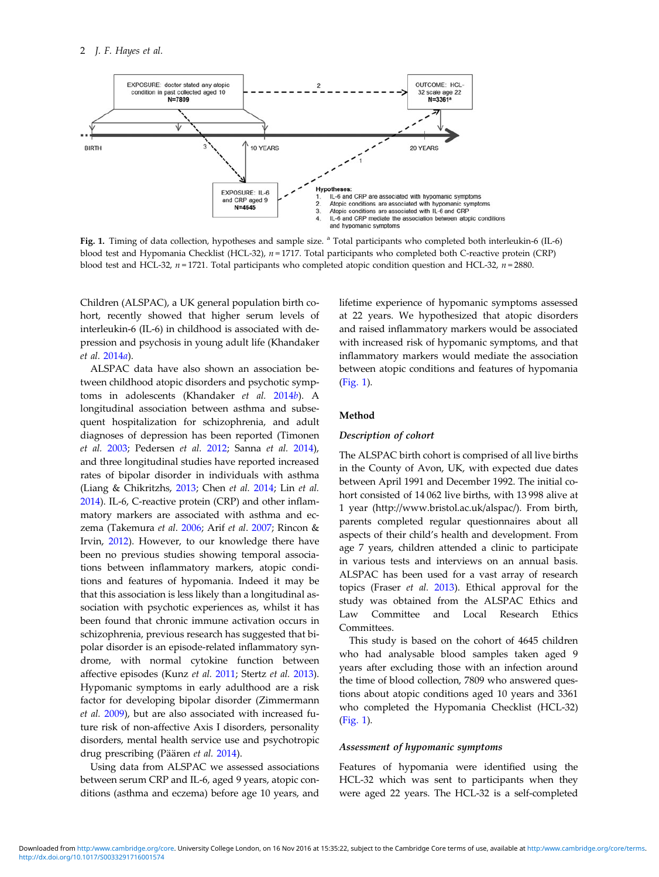

Fig. 1. Timing of data collection, hypotheses and sample size. <sup>a</sup> Total participants who completed both interleukin-6 (IL-6) blood test and Hypomania Checklist (HCL-32),  $n = 1717$ . Total participants who completed both C-reactive protein (CRP) blood test and HCL-32,  $n = 1721$ . Total participants who completed atopic condition question and HCL-32,  $n = 2880$ .

Children (ALSPAC), a UK general population birth cohort, recently showed that higher serum levels of interleukin-6 (IL-6) in childhood is associated with depression and psychosis in young adult life (Khandaker et al. [2014](#page-9-0)a).

ALSPAC data have also shown an association between childhood atopic disorders and psychotic symptoms in adolescents (Khandaker et al. [2014](#page-9-0)b). A longitudinal association between asthma and subsequent hospitalization for schizophrenia, and adult diagnoses of depression has been reported (Timonen et al. [2003](#page-10-0); Pedersen et al. [2012](#page-10-0); Sanna et al. [2014](#page-10-0)), and three longitudinal studies have reported increased rates of bipolar disorder in individuals with asthma (Liang & Chikritzhs, [2013](#page-9-0); Chen et al. [2014;](#page-8-0) Lin et al. [2014\)](#page-9-0). IL-6, C-reactive protein (CRP) and other inflammatory markers are associated with asthma and eczema (Takemura et al. [2006](#page-10-0); Arif et al. [2007;](#page-8-0) Rincon & Irvin, [2012](#page-10-0)). However, to our knowledge there have been no previous studies showing temporal associations between inflammatory markers, atopic conditions and features of hypomania. Indeed it may be that this association is less likely than a longitudinal association with psychotic experiences as, whilst it has been found that chronic immune activation occurs in schizophrenia, previous research has suggested that bipolar disorder is an episode-related inflammatory syndrome, with normal cytokine function between affective episodes (Kunz et al. [2011;](#page-9-0) Stertz et al. [2013](#page-10-0)). Hypomanic symptoms in early adulthood are a risk factor for developing bipolar disorder (Zimmermann et al. [2009](#page-10-0)), but are also associated with increased future risk of non-affective Axis I disorders, personality disorders, mental health service use and psychotropic drug prescribing (Päären et al. [2014](#page-10-0)).

Using data from ALSPAC we assessed associations between serum CRP and IL-6, aged 9 years, atopic conditions (asthma and eczema) before age 10 years, and

lifetime experience of hypomanic symptoms assessed at 22 years. We hypothesized that atopic disorders and raised inflammatory markers would be associated with increased risk of hypomanic symptoms, and that inflammatory markers would mediate the association between atopic conditions and features of hypomania (Fig. 1).

# Method

# Description of cohort

The ALSPAC birth cohort is comprised of all live births in the County of Avon, UK, with expected due dates between April 1991 and December 1992. The initial cohort consisted of 14 062 live births, with 13 998 alive at 1 year (http://www.bristol.ac.uk/alspac/). From birth, parents completed regular questionnaires about all aspects of their child's health and development. From age 7 years, children attended a clinic to participate in various tests and interviews on an annual basis. ALSPAC has been used for a vast array of research topics (Fraser et al. [2013\)](#page-9-0). Ethical approval for the study was obtained from the ALSPAC Ethics and Law Committee and Local Research Ethics Committees.

This study is based on the cohort of 4645 children who had analysable blood samples taken aged 9 years after excluding those with an infection around the time of blood collection, 7809 who answered questions about atopic conditions aged 10 years and 3361 who completed the Hypomania Checklist (HCL-32) (Fig. 1).

#### Assessment of hypomanic symptoms

Features of hypomania were identified using the HCL-32 which was sent to participants when they were aged 22 years. The HCL-32 is a self-completed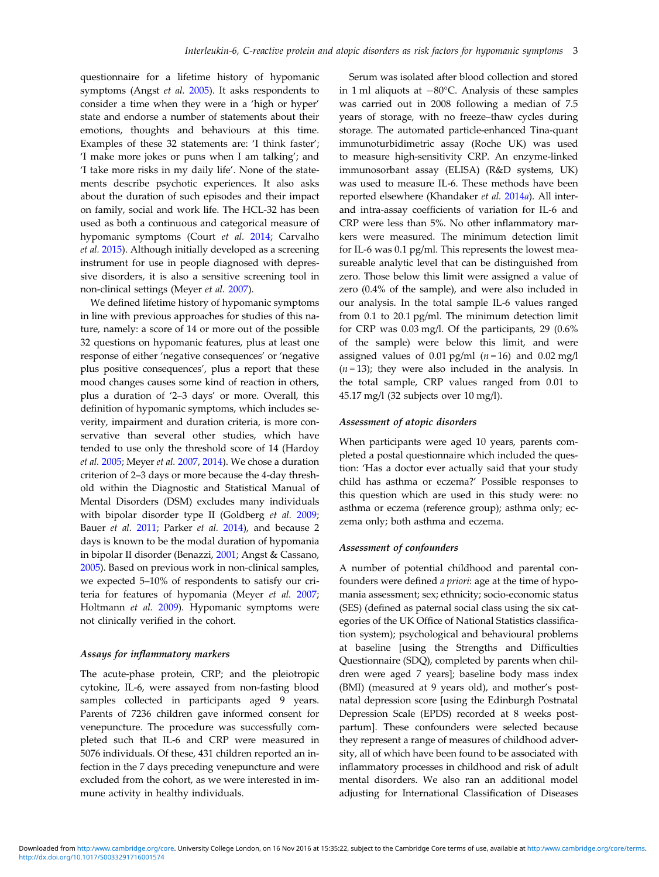questionnaire for a lifetime history of hypomanic symptoms (Angst et al. [2005](#page-8-0)). It asks respondents to consider a time when they were in a 'high or hyper' state and endorse a number of statements about their emotions, thoughts and behaviours at this time. Examples of these 32 statements are: 'I think faster'; 'I make more jokes or puns when I am talking'; and 'I take more risks in my daily life'. None of the statements describe psychotic experiences. It also asks about the duration of such episodes and their impact on family, social and work life. The HCL-32 has been used as both a continuous and categorical measure of hypomanic symptoms (Court et al. [2014](#page-8-0); Carvalho et al. [2015](#page-8-0)). Although initially developed as a screening instrument for use in people diagnosed with depressive disorders, it is also a sensitive screening tool in non-clinical settings (Meyer et al. [2007](#page-9-0)).

We defined lifetime history of hypomanic symptoms in line with previous approaches for studies of this nature, namely: a score of 14 or more out of the possible 32 questions on hypomanic features, plus at least one response of either 'negative consequences' or 'negative plus positive consequences', plus a report that these mood changes causes some kind of reaction in others, plus a duration of '2–3 days' or more. Overall, this definition of hypomanic symptoms, which includes severity, impairment and duration criteria, is more conservative than several other studies, which have tended to use only the threshold score of 14 (Hardoy et al. [2005;](#page-9-0) Meyer et al. [2007,](#page-9-0) [2014](#page-9-0)). We chose a duration criterion of 2–3 days or more because the 4-day threshold within the Diagnostic and Statistical Manual of Mental Disorders (DSM) excludes many individuals with bipolar disorder type II (Goldberg et al. [2009](#page-9-0); Bauer et al. [2011;](#page-8-0) Parker et al. [2014\)](#page-10-0), and because 2 days is known to be the modal duration of hypomania in bipolar II disorder (Benazzi, [2001;](#page-8-0) Angst & Cassano, [2005\)](#page-8-0). Based on previous work in non-clinical samples, we expected 5–10% of respondents to satisfy our criteria for features of hypomania (Meyer et al. [2007](#page-9-0); Holtmann et al. [2009](#page-9-0)). Hypomanic symptoms were not clinically verified in the cohort.

#### Assays for inflammatory markers

The acute-phase protein, CRP; and the pleiotropic cytokine, IL-6, were assayed from non-fasting blood samples collected in participants aged 9 years. Parents of 7236 children gave informed consent for venepuncture. The procedure was successfully completed such that IL-6 and CRP were measured in 5076 individuals. Of these, 431 children reported an infection in the 7 days preceding venepuncture and were excluded from the cohort, as we were interested in immune activity in healthy individuals.

Serum was isolated after blood collection and stored in 1 ml aliquots at −80°C. Analysis of these samples was carried out in 2008 following a median of 7.5 years of storage, with no freeze–thaw cycles during storage. The automated particle-enhanced Tina-quant immunoturbidimetric assay (Roche UK) was used to measure high-sensitivity CRP. An enzyme-linked immunosorbant assay (ELISA) (R&D systems, UK) was used to measure IL-6. These methods have been reported elsewhere (Khandaker et al. [2014](#page-9-0)a). All interand intra-assay coefficients of variation for IL-6 and CRP were less than 5%. No other inflammatory markers were measured. The minimum detection limit for IL-6 was 0.1 pg/ml. This represents the lowest measureable analytic level that can be distinguished from zero. Those below this limit were assigned a value of zero (0.4% of the sample), and were also included in our analysis. In the total sample IL-6 values ranged from 0.1 to 20.1 pg/ml. The minimum detection limit for CRP was 0.03 mg/l. Of the participants, 29 (0.6% of the sample) were below this limit, and were assigned values of 0.01 pg/ml  $(n = 16)$  and 0.02 mg/l  $(n=13)$ ; they were also included in the analysis. In the total sample, CRP values ranged from 0.01 to 45.17 mg/l (32 subjects over 10 mg/l).

#### Assessment of atopic disorders

When participants were aged 10 years, parents completed a postal questionnaire which included the question: 'Has a doctor ever actually said that your study child has asthma or eczema?' Possible responses to this question which are used in this study were: no asthma or eczema (reference group); asthma only; eczema only; both asthma and eczema.

#### Assessment of confounders

A number of potential childhood and parental confounders were defined a priori: age at the time of hypomania assessment; sex; ethnicity; socio-economic status (SES) (defined as paternal social class using the six categories of the UK Office of National Statistics classification system); psychological and behavioural problems at baseline [using the Strengths and Difficulties Questionnaire (SDQ), completed by parents when children were aged 7 years]; baseline body mass index (BMI) (measured at 9 years old), and mother's postnatal depression score [using the Edinburgh Postnatal Depression Scale (EPDS) recorded at 8 weeks postpartum]. These confounders were selected because they represent a range of measures of childhood adversity, all of which have been found to be associated with inflammatory processes in childhood and risk of adult mental disorders. We also ran an additional model adjusting for International Classification of Diseases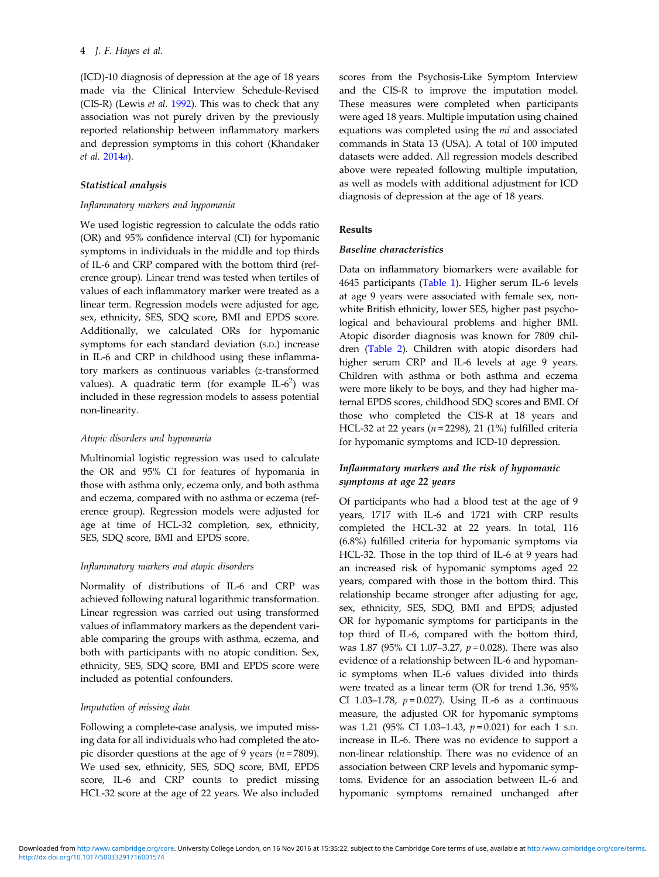(ICD)-10 diagnosis of depression at the age of 18 years made via the Clinical Interview Schedule-Revised (CIS-R) (Lewis et al. [1992\)](#page-9-0). This was to check that any association was not purely driven by the previously reported relationship between inflammatory markers and depression symptoms in this cohort (Khandaker et al. [2014](#page-9-0)a).

## Statistical analysis

# Inflammatory markers and hypomania

We used logistic regression to calculate the odds ratio (OR) and 95% confidence interval (CI) for hypomanic symptoms in individuals in the middle and top thirds of IL-6 and CRP compared with the bottom third (reference group). Linear trend was tested when tertiles of values of each inflammatory marker were treated as a linear term. Regression models were adjusted for age, sex, ethnicity, SES, SDQ score, BMI and EPDS score. Additionally, we calculated ORs for hypomanic symptoms for each standard deviation (S.D.) increase in IL-6 and CRP in childhood using these inflammatory markers as continuous variables (z-transformed values). A quadratic term (for example  $IL-6<sup>2</sup>$ ) was included in these regression models to assess potential non-linearity.

#### Atopic disorders and hypomania

Multinomial logistic regression was used to calculate the OR and 95% CI for features of hypomania in those with asthma only, eczema only, and both asthma and eczema, compared with no asthma or eczema (reference group). Regression models were adjusted for age at time of HCL-32 completion, sex, ethnicity, SES, SDQ score, BMI and EPDS score.

#### Inflammatory markers and atopic disorders

Normality of distributions of IL-6 and CRP was achieved following natural logarithmic transformation. Linear regression was carried out using transformed values of inflammatory markers as the dependent variable comparing the groups with asthma, eczema, and both with participants with no atopic condition. Sex, ethnicity, SES, SDQ score, BMI and EPDS score were included as potential confounders.

# Imputation of missing data

Following a complete-case analysis, we imputed missing data for all individuals who had completed the atopic disorder questions at the age of 9 years ( $n = 7809$ ). We used sex, ethnicity, SES, SDQ score, BMI, EPDS score, IL-6 and CRP counts to predict missing HCL-32 score at the age of 22 years. We also included

scores from the Psychosis-Like Symptom Interview and the CIS-R to improve the imputation model. These measures were completed when participants were aged 18 years. Multiple imputation using chained equations was completed using the mi and associated commands in Stata 13 (USA). A total of 100 imputed datasets were added. All regression models described above were repeated following multiple imputation, as well as models with additional adjustment for ICD diagnosis of depression at the age of 18 years.

# Results

## Baseline characteristics

Data on inflammatory biomarkers were available for 4645 participants [\(Table 1\)](#page-4-0). Higher serum IL-6 levels at age 9 years were associated with female sex, nonwhite British ethnicity, lower SES, higher past psychological and behavioural problems and higher BMI. Atopic disorder diagnosis was known for 7809 children ([Table 2\)](#page-4-0). Children with atopic disorders had higher serum CRP and IL-6 levels at age 9 years. Children with asthma or both asthma and eczema were more likely to be boys, and they had higher maternal EPDS scores, childhood SDQ scores and BMI. Of those who completed the CIS-R at 18 years and HCL-32 at 22 years ( $n = 2298$ ), 21 (1%) fulfilled criteria for hypomanic symptoms and ICD-10 depression.

# Inflammatory markers and the risk of hypomanic symptoms at age 22 years

Of participants who had a blood test at the age of 9 years, 1717 with IL-6 and 1721 with CRP results completed the HCL-32 at 22 years. In total, 116 (6.8%) fulfilled criteria for hypomanic symptoms via HCL-32. Those in the top third of IL-6 at 9 years had an increased risk of hypomanic symptoms aged 22 years, compared with those in the bottom third. This relationship became stronger after adjusting for age, sex, ethnicity, SES, SDQ, BMI and EPDS; adjusted OR for hypomanic symptoms for participants in the top third of IL-6, compared with the bottom third, was 1.87 (95% CI 1.07-3.27,  $p = 0.028$ ). There was also evidence of a relationship between IL-6 and hypomanic symptoms when IL-6 values divided into thirds were treated as a linear term (OR for trend 1.36, 95% CI 1.03-1.78,  $p = 0.027$ ). Using IL-6 as a continuous measure, the adjusted OR for hypomanic symptoms was 1.21 (95% CI 1.03-1.43,  $p = 0.021$ ) for each 1 s.p. increase in IL-6. There was no evidence to support a non-linear relationship. There was no evidence of an association between CRP levels and hypomanic symptoms. Evidence for an association between IL-6 and hypomanic symptoms remained unchanged after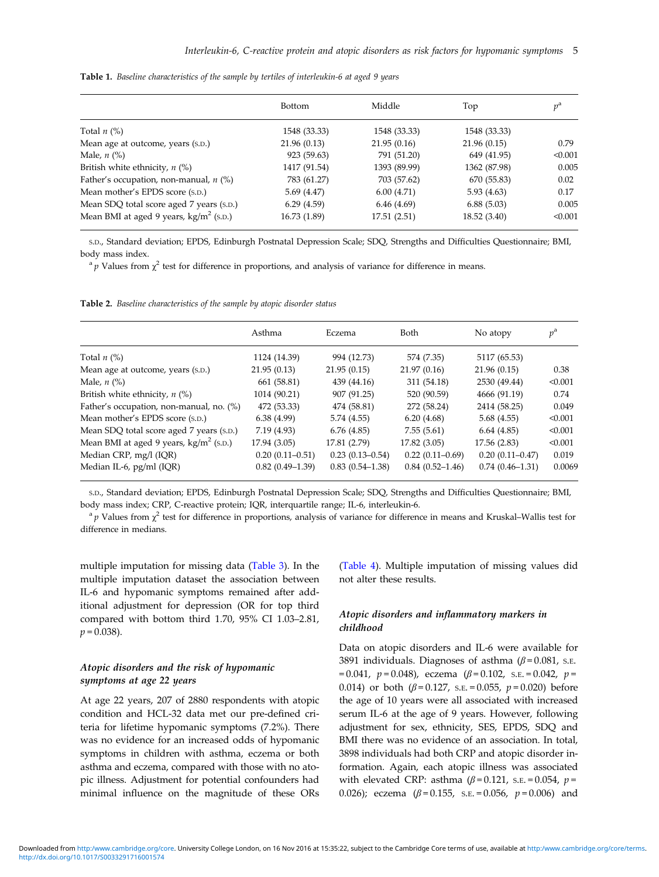|                                                  | <b>Bottom</b> | Middle       | Top          | $v^{\rm a}$ |
|--------------------------------------------------|---------------|--------------|--------------|-------------|
| Total $n$ (%)                                    | 1548 (33.33)  | 1548 (33.33) | 1548 (33.33) |             |
| Mean age at outcome, years (s.p.)                | 21.96(0.13)   | 21.95(0.16)  | 21.96 (0.15) | 0.79        |
| Male, $n$ $\left(\% \right)$                     | 923 (59.63)   | 791 (51.20)  | 649 (41.95)  | < 0.001     |
| British white ethnicity, $n$ (%)                 | 1417 (91.54)  | 1393 (89.99) | 1362 (87.98) | 0.005       |
| Father's occupation, non-manual, $n$ (%)         | 783 (61.27)   | 703 (57.62)  | 670 (55.83)  | 0.02        |
| Mean mother's EPDS score (s.p.)                  | 5.69(4.47)    | 6.00(4.71)   | 5.93(4.63)   | 0.17        |
| Mean SDQ total score aged 7 years (s.p.)         | 6.29(4.59)    | 6.46(4.69)   | 6.88(5.03)   | 0.005       |
| Mean BMI at aged 9 years, $\text{kg/m}^2$ (s.p.) | 16.73 (1.89)  | 17.51(2.51)  | 18.52 (3.40) | < 0.001     |

<span id="page-4-0"></span>Table 1. Baseline characteristics of the sample by tertiles of interleukin-6 at aged 9 years

S.D., Standard deviation; EPDS, Edinburgh Postnatal Depression Scale; SDQ, Strengths and Difficulties Questionnaire; BMI, body mass index.

<sup>a</sup> p Values from  $\chi^2$  test for difference in proportions, and analysis of variance for difference in means.

Table 2. Baseline characteristics of the sample by atopic disorder status

|                                                  | Asthma            | Eczema              | Both                | No atopy            | $p^{\rm a}$ |
|--------------------------------------------------|-------------------|---------------------|---------------------|---------------------|-------------|
| Total $n$ (%)                                    | 1124 (14.39)      | 994 (12.73)         | 574 (7.35)          | 5117 (65.53)        |             |
| Mean age at outcome, years (s.p.)                | 21.95(0.13)       | 21.95(0.15)         | 21.97(0.16)         | 21.96(0.15)         | 0.38        |
| Male, $n$ (%)                                    | 661 (58.81)       | 439 (44.16)         | 311 (54.18)         | 2530 (49.44)        | < 0.001     |
| British white ethnicity, $n$ (%)                 | 1014 (90.21)      | 907 (91.25)         | 520 (90.59)         | 4666 (91.19)        | 0.74        |
| Father's occupation, non-manual, no. (%)         | 472 (53.33)       | 474 (58.81)         | 272 (58.24)         | 2414 (58.25)        | 0.049       |
| Mean mother's EPDS score (s.p.)                  | 6.38(4.99)        | 5.74 (4.55)         | 6.20(4.68)          | 5.68(4.55)          | < 0.001     |
| Mean SDQ total score aged 7 years (s.p.)         | 7.19(4.93)        | 6.76(4.85)          | 7.55(5.61)          | 6.64(4.85)          | < 0.001     |
| Mean BMI at aged 9 years, $\text{kg/m}^2$ (s.p.) | 17.94 (3.05)      | 17.81 (2.79)        | 17.82 (3.05)        | 17.56 (2.83)        | < 0.001     |
| Median CRP, mg/l (IQR)                           | $0.20(0.11-0.51)$ | $0.23(0.13 - 0.54)$ | $0.22(0.11-0.69)$   | $0.20(0.11 - 0.47)$ | 0.019       |
| Median IL-6, pg/ml (IQR)                         | $0.82(0.49-1.39)$ | $0.83(0.54 - 1.38)$ | $0.84(0.52 - 1.46)$ | $0.74(0.46 - 1.31)$ | 0.0069      |

S.D., Standard deviation; EPDS, Edinburgh Postnatal Depression Scale; SDQ, Strengths and Difficulties Questionnaire; BMI, body mass index; CRP, C-reactive protein; IQR, interquartile range; IL-6, interleukin-6.

<sup>a</sup> p Values from  $\chi^2$  test for difference in proportions, analysis of variance for difference in means and Kruskal–Wallis test for difference in medians.

multiple imputation for missing data ([Table 3\)](#page-5-0). In the multiple imputation dataset the association between IL-6 and hypomanic symptoms remained after additional adjustment for depression (OR for top third compared with bottom third 1.70, 95% CI 1.03–2.81,  $p = 0.038$ ).

# Atopic disorders and the risk of hypomanic symptoms at age 22 years

At age 22 years, 207 of 2880 respondents with atopic condition and HCL-32 data met our pre-defined criteria for lifetime hypomanic symptoms (7.2%). There was no evidence for an increased odds of hypomanic symptoms in children with asthma, eczema or both asthma and eczema, compared with those with no atopic illness. Adjustment for potential confounders had minimal influence on the magnitude of these ORs ([Table 4](#page-6-0)). Multiple imputation of missing values did not alter these results.

# Atopic disorders and inflammatory markers in childhood

Data on atopic disorders and IL-6 were available for 3891 individuals. Diagnoses of asthma ( $\beta$  = 0.081, s.e. = 0.041,  $p = 0.048$ ), eczema ( $\beta = 0.102$ , s.e. = 0.042,  $p =$ 0.014) or both  $(\beta = 0.127, s.E. = 0.055, p = 0.020)$  before the age of 10 years were all associated with increased serum IL-6 at the age of 9 years. However, following adjustment for sex, ethnicity, SES, EPDS, SDQ and BMI there was no evidence of an association. In total, 3898 individuals had both CRP and atopic disorder information. Again, each atopic illness was associated with elevated CRP: asthma  $(\beta = 0.121, s.E. = 0.054, p =$ 0.026); eczema  $(\beta = 0.155, s.E. = 0.056, p = 0.006)$  and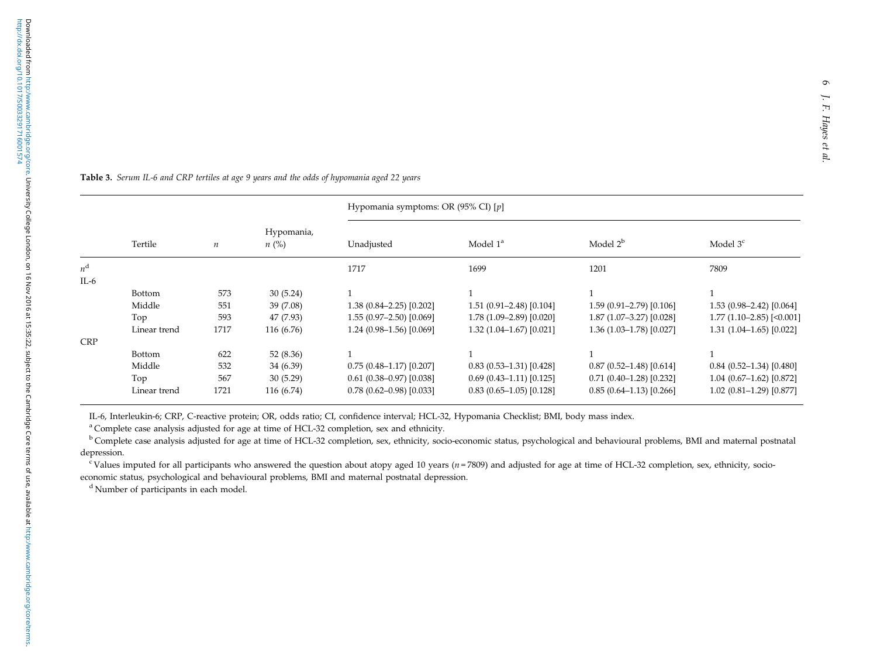<span id="page-5-0"></span>Table 3. Serum IL-6 and CRP tertiles at age <sup>9</sup> years and the odds of hypomania aged <sup>22</sup> years

|             |               |                  |                         | Hypomania symptoms: OR (95% CI) [p] |                            |                            |                            |
|-------------|---------------|------------------|-------------------------|-------------------------------------|----------------------------|----------------------------|----------------------------|
|             | Tertile       | $\boldsymbol{n}$ | Hypomania,<br>$n\ (\%)$ | Unadjusted                          | Model $1^a$                | Model $2^b$                | Model $3c$                 |
| $n^{\rm d}$ |               |                  |                         | 1717                                | 1699                       | 1201                       | 7809                       |
| IL-6        |               |                  |                         |                                     |                            |                            |                            |
|             | <b>Bottom</b> | 573              | 30(5.24)                |                                     |                            |                            |                            |
|             | Middle        | 551              | 39 (7.08)               | $1.38(0.84 - 2.25)[0.202]$          | $1.51(0.91 - 2.48)[0.104]$ | $1.59(0.91 - 2.79)[0.106]$ | $1.53(0.98-2.42)[0.064]$   |
|             | Top           | 593              | 47 (7.93)               | $1.55(0.97-2.50)[0.069]$            | 1.78 (1.09–2.89) [0.020]   | 1.87 (1.07-3.27) [0.028]   | $1.77(1.10-2.85)$ [<0.001] |
|             | Linear trend  | 1717             | 116 (6.76)              | $1.24(0.98-1.56)[0.069]$            | $1.32(1.04-1.67)[0.021]$   | 1.36 (1.03-1.78) [0.027]   | $1.31(1.04-1.65)[0.022]$   |
| CRP         |               |                  |                         |                                     |                            |                            |                            |
|             | <b>Bottom</b> | 622              | 52 (8.36)               |                                     |                            |                            |                            |
|             | Middle        | 532              | 34 (6.39)               | $0.75(0.48-1.17)[0.207]$            | $0.83(0.53-1.31)[0.428]$   | $0.87(0.52 - 1.48)[0.614]$ | $0.84$ (0.52-1.34) [0.480] |
|             | Top           | 567              | 30(5.29)                | $0.61(0.38 - 0.97)[0.038]$          | $0.69(0.43 - 1.11)[0.125]$ | $0.71(0.40-1.28)[0.232]$   | $1.04(0.67-1.62)[0.872]$   |
|             | Linear trend  | 1721             | 116 (6.74)              | $0.78(0.62 - 0.98)[0.033]$          | $0.83(0.65-1.05)[0.128]$   | $0.85(0.64-1.13)[0.266]$   | $1.02$ (0.81-1.29) [0.877] |
|             |               |                  |                         |                                     |                            |                            |                            |

IL-6, Interleukin-6; CRP, C-reactive protein; OR, odds ratio; CI, confidence interval; HCL-32, Hypomania Checklist; BMI, body mass index.

<sup>a</sup> Complete case analysis adjusted for age at time of HCL-32 completion, sex and ethnicity.

<sup>b</sup> Complete case analysis adjusted for age at time of HCL-32 completion, sex, ethnicity, socio-economic status, psychological and behavioural problems, BMI and maternal postnatal depression.

<sup>c</sup> Values imputed for all participants who answered the question about atopy aged 10 years ( $n = 7809$ ) and adjusted for age at time of HCL-32 completion, sex, ethnicity, socioeconomic status, psychological and behavioural problems, BMI and maternal postnatal depression.

<sup>d</sup> Number of participants in each model.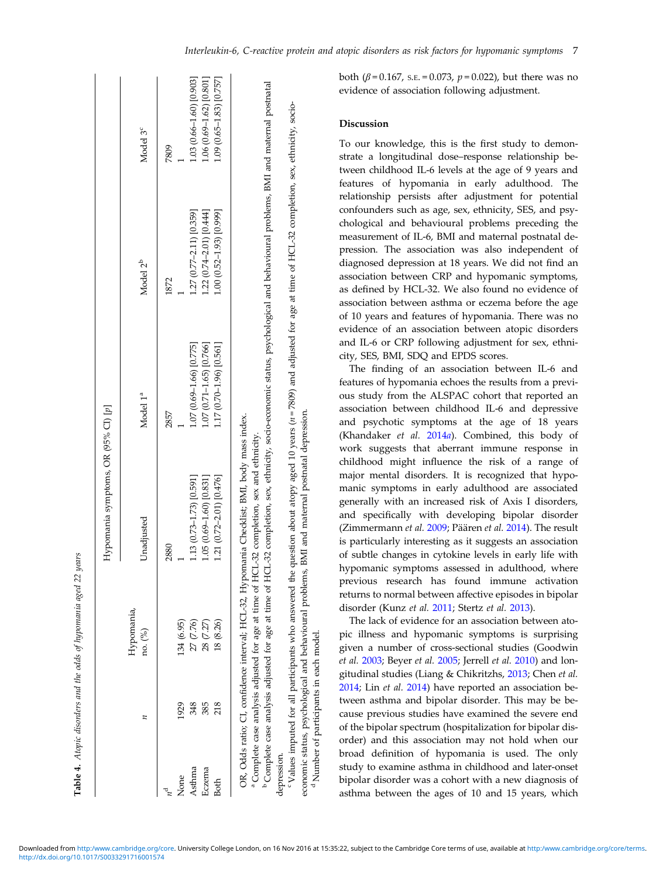<span id="page-6-0"></span>

|             |      |                       | Hypomania symptoms, OR (95% CI) [p]                                                                                                                                                                  |                             |                                                                                                                                                                                              |                             |
|-------------|------|-----------------------|------------------------------------------------------------------------------------------------------------------------------------------------------------------------------------------------------|-----------------------------|----------------------------------------------------------------------------------------------------------------------------------------------------------------------------------------------|-----------------------------|
|             |      | Hypomania,<br>no. (%) | Unadjusted                                                                                                                                                                                           | Model 1 <sup>ª</sup>        | Model 2 <sup>b</sup>                                                                                                                                                                         | Model 3 <sup>c</sup>        |
|             |      |                       | 2880                                                                                                                                                                                                 | 2857                        | 1872                                                                                                                                                                                         | 7809                        |
| .Vone       | 1929 | 134 (6.95)            |                                                                                                                                                                                                      |                             |                                                                                                                                                                                              |                             |
| Asthma      | 348  | 27 (7.76)             | 1.13 (0.73–1.73) [0.591]                                                                                                                                                                             | $1.07(0.69 - 1.66)$ [0.775] | 1.27 (0.77-2.11) [0.359]                                                                                                                                                                     | $1.03(0.66 - 1.60)$ [0.903] |
| Eczema      | 385  | 28 (7.27)             | $1.05(0.69 - 1.60)$ [0.831]                                                                                                                                                                          | 1.07 (0.71-1.65) [0.766]    | 1.22 (0.74-2.01) [0.444]                                                                                                                                                                     | $1.06(0.69 - 1.62)$ [0.801] |
| <b>Both</b> | 218  | 18 (8.26)             | 1.21 (0.72-2.01) [0.476]                                                                                                                                                                             | 1.17 (0.70–1.96) [0.561]    | 1.00 (0.52–1.93) [0.999]                                                                                                                                                                     | $1.09(0.65-1.83)[0.757]$    |
|             |      |                       | OR, Odds ratio; CI, confidence interval; HCL-32, Hypomania Checklist; BMI, body mass index.<br><sup>a</sup> Complete case analysis adjusted for age at time of HCL-32 completion, sex and ethnicity. |                             |                                                                                                                                                                                              |                             |
|             |      |                       |                                                                                                                                                                                                      |                             | <sup>b</sup> Complete case analysis adjusted for age at time of HCL-32 completion, sex, ethnicity, socio-economic status, psychological and behavioural problems, BMI and maternal postnatal |                             |

Table 4. Atopic disorders and the odds of hupomania aged 22 years

Atopic disorders and the odds of hypomania aged 22 years

"Values imputed for all participants who answered the question about atopy aged 10 years (n=7809) and adjusted for age at time of HCL-32 completion, sex, ethnicity, sociodepression.<br><sup>c</sup> Values imputed for all participants who answered the question about atopy aged 10 years (n=7809) and adjusted for age at time of HCL-32 completion, sex, ethnicity, sociodepression.

economic status, psychological and behavioural problems, BMI and maternal postnatal depression.<br><sup>d</sup> Number of participants in each model.

in each model

<sup>d</sup>Number of participants

economic status, psychological and behavioural problems, BMI and maternal postnatal depression.

evidence of association following adjustment. Discussion To our knowledge, this is the first study to demonstrate a longitudinal dose–response relationship between childhood IL-6 levels at the age of 9 years and features of hypomania in early adulthood. The relationship persists after adjustment for potential confounders such as age, sex, ethnicity, SES, and psychological and behavioural problems preceding the measurement of IL-6, BMI and maternal postnatal depression. The association was also independent of diagnosed depression at 18 years. We did not find an association between CRP and hypomanic symptoms, as defined by HCL-32. We also found no evidence of association between asthma or eczema before the age of 10 years and features of hypomania. There was no evidence of an association between atopic disorders and IL-6 or CRP following adjustment for sex, ethnicity, SES, BMI, SDQ and EPDS scores.

The finding of an association between IL-6 and features of hypomania echoes the results from a previous study from the ALSPAC cohort that reported an association between childhood IL-6 and depressive and psychotic symptoms at the age of 18 years (Khandaker et al. [2014](#page-9-0)a). Combined, this body of work suggests that aberrant immune response in childhood might influence the risk of a range of major mental disorders. It is recognized that hypomanic symptoms in early adulthood are associated generally with an increased risk of Axis I disorders, and specifically with developing bipolar disorder (Zimmermann et al. [2009](#page-10-0); Päären et al. [2014\)](#page-10-0). The result is particularly interesting as it suggests an association of subtle changes in cytokine levels in early life with hypomanic symptoms assessed in adulthood, where previous research has found immune activation returns to normal between affective episodes in bipolar disorder (Kunz et al. [2011](#page-9-0); Stertz et al. [2013\)](#page-10-0).

both (β = 0.167, s.e. = 0.073,  $p = 0.022$ ), but there was no

The lack of evidence for an association between atopic illness and hypomanic symptoms is surprising given a number of cross-sectional studies (Goodwin et al. [2003](#page-9-0); Beyer et al. [2005;](#page-8-0) Jerrell et al. [2010\)](#page-9-0) and longitudinal studies (Liang & Chikritzhs, [2013;](#page-9-0) Chen et al. [2014;](#page-8-0) Lin et al. [2014\)](#page-9-0) have reported an association between asthma and bipolar disorder. This may be because previous studies have examined the severe end of the bipolar spectrum (hospitalization for bipolar disorder) and this association may not hold when our broad definition of hypomania is used. The only study to examine asthma in childhood and later-onset bipolar disorder was a cohort with a new diagnosis of asthma between the ages of 10 and 15 years, which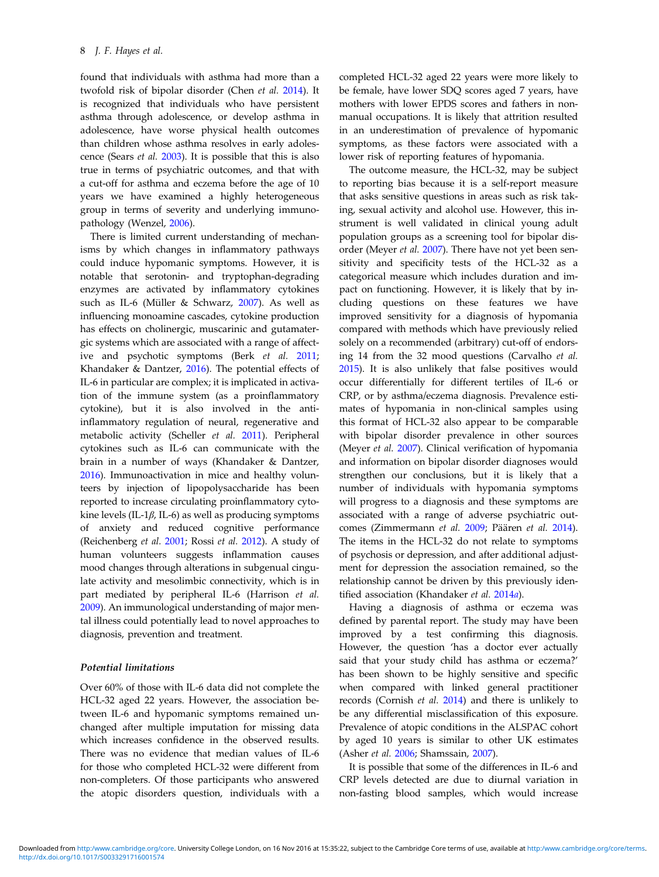found that individuals with asthma had more than a twofold risk of bipolar disorder (Chen et al. [2014\)](#page-8-0). It is recognized that individuals who have persistent asthma through adolescence, or develop asthma in adolescence, have worse physical health outcomes than children whose asthma resolves in early adolescence (Sears et al. [2003](#page-10-0)). It is possible that this is also true in terms of psychiatric outcomes, and that with a cut-off for asthma and eczema before the age of 10 years we have examined a highly heterogeneous group in terms of severity and underlying immunopathology (Wenzel, [2006](#page-10-0)).

There is limited current understanding of mechanisms by which changes in inflammatory pathways could induce hypomanic symptoms. However, it is notable that serotonin- and tryptophan-degrading enzymes are activated by inflammatory cytokines such as IL-6 (Müller & Schwarz, [2007\)](#page-9-0). As well as influencing monoamine cascades, cytokine production has effects on cholinergic, muscarinic and gutamatergic systems which are associated with a range of affective and psychotic symptoms (Berk et al. [2011](#page-8-0); Khandaker & Dantzer, [2016](#page-9-0)). The potential effects of IL-6 in particular are complex; it is implicated in activation of the immune system (as a proinflammatory cytokine), but it is also involved in the antiinflammatory regulation of neural, regenerative and metabolic activity (Scheller et al. [2011\)](#page-10-0). Peripheral cytokines such as IL-6 can communicate with the brain in a number of ways (Khandaker & Dantzer, [2016\)](#page-9-0). Immunoactivation in mice and healthy volunteers by injection of lipopolysaccharide has been reported to increase circulating proinflammatory cytokine levels (IL-1 $\beta$ , IL-6) as well as producing symptoms of anxiety and reduced cognitive performance (Reichenberg et al. [2001](#page-10-0); Rossi et al. [2012\)](#page-10-0). A study of human volunteers suggests inflammation causes mood changes through alterations in subgenual cingulate activity and mesolimbic connectivity, which is in part mediated by peripheral IL-6 (Harrison et al. [2009\)](#page-9-0). An immunological understanding of major mental illness could potentially lead to novel approaches to diagnosis, prevention and treatment.

## Potential limitations

Over 60% of those with IL-6 data did not complete the HCL-32 aged 22 years. However, the association between IL-6 and hypomanic symptoms remained unchanged after multiple imputation for missing data which increases confidence in the observed results. There was no evidence that median values of IL-6 for those who completed HCL-32 were different from non-completers. Of those participants who answered the atopic disorders question, individuals with a completed HCL-32 aged 22 years were more likely to be female, have lower SDQ scores aged 7 years, have mothers with lower EPDS scores and fathers in nonmanual occupations. It is likely that attrition resulted in an underestimation of prevalence of hypomanic symptoms, as these factors were associated with a lower risk of reporting features of hypomania.

The outcome measure, the HCL-32, may be subject to reporting bias because it is a self-report measure that asks sensitive questions in areas such as risk taking, sexual activity and alcohol use. However, this instrument is well validated in clinical young adult population groups as a screening tool for bipolar dis-order (Meyer et al. [2007](#page-9-0)). There have not yet been sensitivity and specificity tests of the HCL-32 as a categorical measure which includes duration and impact on functioning. However, it is likely that by including questions on these features we have improved sensitivity for a diagnosis of hypomania compared with methods which have previously relied solely on a recommended (arbitrary) cut-off of endorsing 14 from the 32 mood questions (Carvalho et al. [2015\)](#page-8-0). It is also unlikely that false positives would occur differentially for different tertiles of IL-6 or CRP, or by asthma/eczema diagnosis. Prevalence estimates of hypomania in non-clinical samples using this format of HCL-32 also appear to be comparable with bipolar disorder prevalence in other sources (Meyer et al. [2007](#page-9-0)). Clinical verification of hypomania and information on bipolar disorder diagnoses would strengthen our conclusions, but it is likely that a number of individuals with hypomania symptoms will progress to a diagnosis and these symptoms are associated with a range of adverse psychiatric outcomes (Zimmermann et al. [2009](#page-10-0); Päären et al. [2014](#page-10-0)). The items in the HCL-32 do not relate to symptoms of psychosis or depression, and after additional adjustment for depression the association remained, so the relationship cannot be driven by this previously iden-tified association (Khandaker et al. [2014](#page-9-0)a).

Having a diagnosis of asthma or eczema was defined by parental report. The study may have been improved by a test confirming this diagnosis. However, the question 'has a doctor ever actually said that your study child has asthma or eczema?' has been shown to be highly sensitive and specific when compared with linked general practitioner records (Cornish et al. [2014\)](#page-8-0) and there is unlikely to be any differential misclassification of this exposure. Prevalence of atopic conditions in the ALSPAC cohort by aged 10 years is similar to other UK estimates (Asher et al. [2006;](#page-8-0) Shamssain, [2007](#page-10-0)).

It is possible that some of the differences in IL-6 and CRP levels detected are due to diurnal variation in non-fasting blood samples, which would increase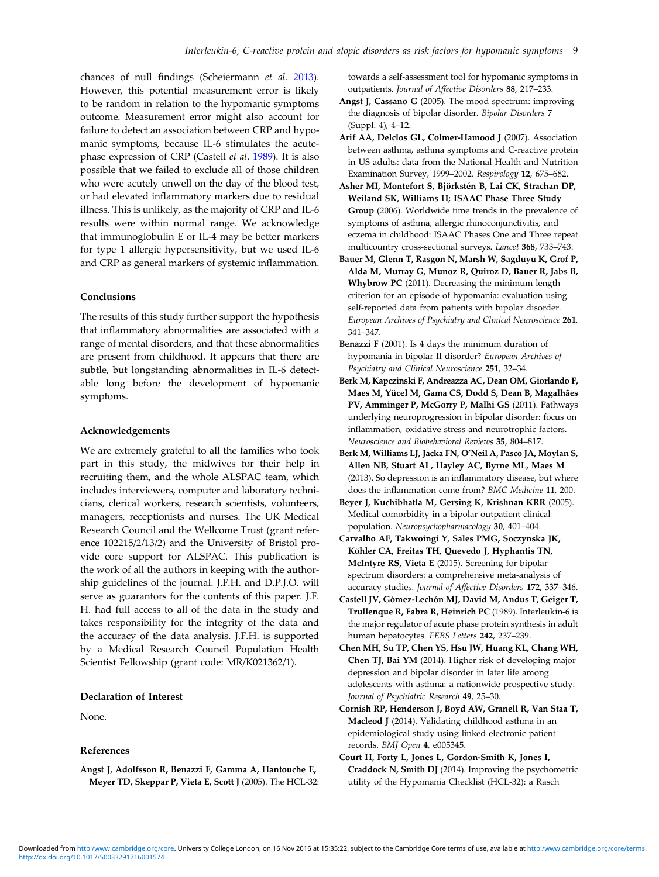<span id="page-8-0"></span>chances of null findings (Scheiermann et al. [2013](#page-10-0)). However, this potential measurement error is likely to be random in relation to the hypomanic symptoms outcome. Measurement error might also account for failure to detect an association between CRP and hypomanic symptoms, because IL-6 stimulates the acutephase expression of CRP (Castell et al. 1989). It is also possible that we failed to exclude all of those children who were acutely unwell on the day of the blood test, or had elevated inflammatory markers due to residual illness. This is unlikely, as the majority of CRP and IL-6 results were within normal range. We acknowledge that immunoglobulin E or IL-4 may be better markers for type 1 allergic hypersensitivity, but we used IL-6 and CRP as general markers of systemic inflammation.

## **Conclusions**

The results of this study further support the hypothesis that inflammatory abnormalities are associated with a range of mental disorders, and that these abnormalities are present from childhood. It appears that there are subtle, but longstanding abnormalities in IL-6 detectable long before the development of hypomanic symptoms.

#### Acknowledgements

We are extremely grateful to all the families who took part in this study, the midwives for their help in recruiting them, and the whole ALSPAC team, which includes interviewers, computer and laboratory technicians, clerical workers, research scientists, volunteers, managers, receptionists and nurses. The UK Medical Research Council and the Wellcome Trust (grant reference 102215/2/13/2) and the University of Bristol provide core support for ALSPAC. This publication is the work of all the authors in keeping with the authorship guidelines of the journal. J.F.H. and D.P.J.O. will serve as guarantors for the contents of this paper. J.F. H. had full access to all of the data in the study and takes responsibility for the integrity of the data and the accuracy of the data analysis. J.F.H. is supported by a Medical Research Council Population Health Scientist Fellowship (grant code: MR/K021362/1).

## Declaration of Interest

None.

#### References

Angst J, Adolfsson R, Benazzi F, Gamma A, Hantouche E, Meyer TD, Skeppar P, Vieta E, Scott J (2005). The HCL-32: towards a self-assessment tool for hypomanic symptoms in outpatients. Journal of Affective Disorders 88, 217–233.

- Angst J, Cassano G (2005). The mood spectrum: improving the diagnosis of bipolar disorder. Bipolar Disorders 7 (Suppl. 4), 4–12.
- Arif AA, Delclos GL, Colmer-Hamood J (2007). Association between asthma, asthma symptoms and C-reactive protein in US adults: data from the National Health and Nutrition Examination Survey, 1999–2002. Respirology 12, 675–682.
- Asher MI, Montefort S, Björkstén B, Lai CK, Strachan DP, Weiland SK, Williams H; ISAAC Phase Three Study Group (2006). Worldwide time trends in the prevalence of symptoms of asthma, allergic rhinoconjunctivitis, and eczema in childhood: ISAAC Phases One and Three repeat multicountry cross-sectional surveys. Lancet 368, 733–743.
- Bauer M, Glenn T, Rasgon N, Marsh W, Sagduyu K, Grof P, Alda M, Murray G, Munoz R, Quiroz D, Bauer R, Jabs B, Whybrow PC (2011). Decreasing the minimum length criterion for an episode of hypomania: evaluation using self-reported data from patients with bipolar disorder. European Archives of Psychiatry and Clinical Neuroscience 261, 341–347.
- Benazzi F (2001). Is 4 days the minimum duration of hypomania in bipolar II disorder? European Archives of Psychiatry and Clinical Neuroscience 251, 32–34.
- Berk M, Kapczinski F, Andreazza AC, Dean OM, Giorlando F, Maes M, Yücel M, Gama CS, Dodd S, Dean B, Magalhães PV, Amminger P, McGorry P, Malhi GS (2011). Pathways underlying neuroprogression in bipolar disorder: focus on inflammation, oxidative stress and neurotrophic factors. Neuroscience and Biobehavioral Reviews 35, 804–817.
- Berk M, Williams LJ, Jacka FN, O'Neil A, Pasco JA, Moylan S, Allen NB, Stuart AL, Hayley AC, Byrne ML, Maes M (2013). So depression is an inflammatory disease, but where does the inflammation come from? BMC Medicine 11, 200.
- Beyer J, Kuchibhatla M, Gersing K, Krishnan KRR (2005). Medical comorbidity in a bipolar outpatient clinical population. Neuropsychopharmacology 30, 401–404.
- Carvalho AF, Takwoingi Y, Sales PMG, Soczynska JK, Köhler CA, Freitas TH, Quevedo J, Hyphantis TN, McIntyre RS, Vieta E (2015). Screening for bipolar spectrum disorders: a comprehensive meta-analysis of accuracy studies. Journal of Affective Disorders 172, 337–346.
- Castell JV, Gómez-Lechón MJ, David M, Andus T, Geiger T, Trullenque R, Fabra R, Heinrich PC (1989). Interleukin-6 is the major regulator of acute phase protein synthesis in adult human hepatocytes. FEBS Letters 242, 237–239.
- Chen MH, Su TP, Chen YS, Hsu JW, Huang KL, Chang WH, Chen TJ, Bai YM (2014). Higher risk of developing major depression and bipolar disorder in later life among adolescents with asthma: a nationwide prospective study. Journal of Psychiatric Research 49, 25–30.
- Cornish RP, Henderson J, Boyd AW, Granell R, Van Staa T, Macleod J (2014). Validating childhood asthma in an epidemiological study using linked electronic patient records. BMJ Open 4, e005345.
- Court H, Forty L, Jones L, Gordon-Smith K, Jones I, Craddock N, Smith DJ (2014). Improving the psychometric utility of the Hypomania Checklist (HCL-32): a Rasch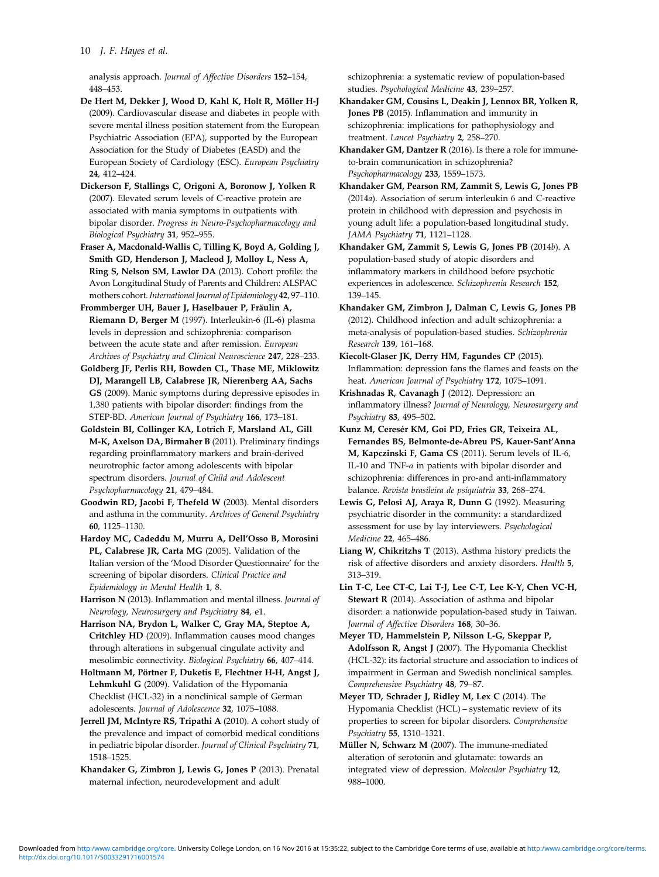<span id="page-9-0"></span>analysis approach. Journal of Affective Disorders 152–154, 448–453.

De Hert M, Dekker J, Wood D, Kahl K, Holt R, Möller H-J (2009). Cardiovascular disease and diabetes in people with severe mental illness position statement from the European Psychiatric Association (EPA), supported by the European Association for the Study of Diabetes (EASD) and the European Society of Cardiology (ESC). European Psychiatry 24, 412–424.

Dickerson F, Stallings C, Origoni A, Boronow J, Yolken R (2007). Elevated serum levels of C-reactive protein are associated with mania symptoms in outpatients with bipolar disorder. Progress in Neuro-Psychopharmacology and Biological Psychiatry 31, 952–955.

Fraser A, Macdonald-Wallis C, Tilling K, Boyd A, Golding J, Smith GD, Henderson J, Macleod J, Molloy L, Ness A, Ring S, Nelson SM, Lawlor DA (2013). Cohort profile: the Avon Longitudinal Study of Parents and Children: ALSPAC mothers cohort. International Journal of Epidemiology 42, 97-110.

Frommberger UH, Bauer J, Haselbauer P, Fräulin A, Riemann D, Berger M (1997). Interleukin-6 (IL-6) plasma levels in depression and schizophrenia: comparison between the acute state and after remission. European Archives of Psychiatry and Clinical Neuroscience 247, 228–233.

Goldberg JF, Perlis RH, Bowden CL, Thase ME, Miklowitz DJ, Marangell LB, Calabrese JR, Nierenberg AA, Sachs GS (2009). Manic symptoms during depressive episodes in 1,380 patients with bipolar disorder: findings from the STEP-BD. American Journal of Psychiatry 166, 173–181.

Goldstein BI, Collinger KA, Lotrich F, Marsland AL, Gill M-K, Axelson DA, Birmaher B (2011). Preliminary findings regarding proinflammatory markers and brain-derived neurotrophic factor among adolescents with bipolar spectrum disorders. Journal of Child and Adolescent Psychopharmacology 21, 479–484.

Goodwin RD, Jacobi F, Thefeld W (2003). Mental disorders and asthma in the community. Archives of General Psychiatry 60, 1125–1130.

Hardoy MC, Cadeddu M, Murru A, Dell'Osso B, Morosini PL, Calabrese JR, Carta MG (2005). Validation of the Italian version of the 'Mood Disorder Questionnaire' for the screening of bipolar disorders. Clinical Practice and Epidemiology in Mental Health 1, 8.

Harrison N (2013). Inflammation and mental illness. Journal of Neurology, Neurosurgery and Psychiatry 84, e1.

Harrison NA, Brydon L, Walker C, Gray MA, Steptoe A, Critchley HD (2009). Inflammation causes mood changes through alterations in subgenual cingulate activity and mesolimbic connectivity. Biological Psychiatry 66, 407–414.

Holtmann M, Pörtner F, Duketis E, Flechtner H-H, Angst J, Lehmkuhl G (2009). Validation of the Hypomania Checklist (HCL-32) in a nonclinical sample of German adolescents. Journal of Adolescence 32, 1075–1088.

Jerrell JM, McIntyre RS, Tripathi A (2010). A cohort study of the prevalence and impact of comorbid medical conditions in pediatric bipolar disorder. Journal of Clinical Psychiatry 71, 1518–1525.

Khandaker G, Zimbron J, Lewis G, Jones P (2013). Prenatal maternal infection, neurodevelopment and adult

schizophrenia: a systematic review of population-based studies. Psychological Medicine 43, 239–257.

Khandaker GM, Cousins L, Deakin J, Lennox BR, Yolken R, Jones PB (2015). Inflammation and immunity in schizophrenia: implications for pathophysiology and treatment. Lancet Psychiatry 2, 258–270.

Khandaker GM, Dantzer R (2016). Is there a role for immuneto-brain communication in schizophrenia? Psychopharmacology 233, 1559–1573.

Khandaker GM, Pearson RM, Zammit S, Lewis G, Jones PB (2014a). Association of serum interleukin 6 and C-reactive protein in childhood with depression and psychosis in young adult life: a population-based longitudinal study. JAMA Psychiatry 71, 1121–1128.

Khandaker GM, Zammit S, Lewis G, Jones PB (2014b). A population-based study of atopic disorders and inflammatory markers in childhood before psychotic experiences in adolescence. Schizophrenia Research 152, 139–145.

Khandaker GM, Zimbron J, Dalman C, Lewis G, Jones PB (2012). Childhood infection and adult schizophrenia: a meta-analysis of population-based studies. Schizophrenia Research 139, 161–168.

Kiecolt-Glaser JK, Derry HM, Fagundes CP (2015). Inflammation: depression fans the flames and feasts on the heat. American Journal of Psychiatry 172, 1075–1091.

Krishnadas R, Cavanagh J (2012). Depression: an inflammatory illness? Journal of Neurology, Neurosurgery and Psychiatry 83, 495–502.

Kunz M, Ceresér KM, Goi PD, Fries GR, Teixeira AL, Fernandes BS, Belmonte-de-Abreu PS, Kauer-Sant'Anna M, Kapczinski F, Gama CS (2011). Serum levels of IL-6, IL-10 and TNF-α in patients with bipolar disorder and schizophrenia: differences in pro-and anti-inflammatory balance. Revista brasileira de psiquiatria 33, 268–274.

Lewis G, Pelosi AJ, Araya R, Dunn G (1992). Measuring psychiatric disorder in the community: a standardized assessment for use by lay interviewers. Psychological Medicine 22, 465–486.

Liang W, Chikritzhs T (2013). Asthma history predicts the risk of affective disorders and anxiety disorders. Health 5, 313–319.

Lin T-C, Lee CT-C, Lai T-J, Lee C-T, Lee K-Y, Chen VC-H, Stewart R (2014). Association of asthma and bipolar disorder: a nationwide population-based study in Taiwan. Journal of Affective Disorders 168, 30–36.

Meyer TD, Hammelstein P, Nilsson L-G, Skeppar P, Adolfsson R, Angst J (2007). The Hypomania Checklist (HCL-32): its factorial structure and association to indices of impairment in German and Swedish nonclinical samples. Comprehensive Psychiatry 48, 79–87.

Meyer TD, Schrader J, Ridley M, Lex C (2014). The Hypomania Checklist (HCL) – systematic review of its properties to screen for bipolar disorders. Comprehensive Psychiatry 55, 1310–1321.

Müller N, Schwarz M (2007). The immune-mediated alteration of serotonin and glutamate: towards an integrated view of depression. Molecular Psychiatry 12, 988–1000.